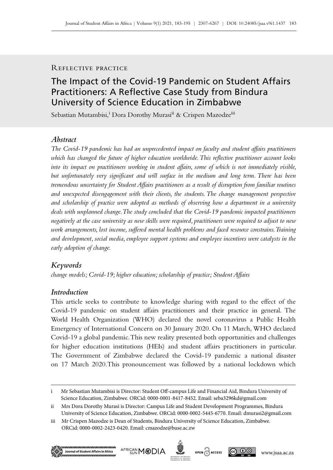# Reflective practice

# The Impact of the Covid-19 Pandemic on Student Affairs Practitioners: A Reflective Case Study from Bindura University of Science Education in Zimbabwe

Sebastian Mutambisi,<sup>i</sup> Dora Dorothy Murasi<sup>ii</sup> & Crispen Mazodze<sup>iii</sup>

# *Abstract*

*The Covid‑19 pandemic has had an unprecedented impact on faculty and student affairs practitioners which has changed the future of higher education worldwide. This reflective practitioner account looks into its impact on practitioners working in student affairs, some of which is not immediately visible, but unfortunately very significant and will surface in the medium and long term. There has been tremendous uncertainty for Student Affairs practitioners as a result of disruption from familiar routines and unexpected disengagement with their clients, the students. The change management perspective and scholarship of practice were adopted as methods of observing how a department in a university deals with unplanned change. The study concluded that the Covid‑19 pandemic impacted practitioners negatively at the case university as new skills were required, practitioners were required to adjust to new work arrangements, lost income, suffered mental health problems and faced resource constrains. Training and development, social media, employee support systems and employee incentives were catalysts in the early adoption of change.* 

# *Keywords*

*change models; Covid‑19; higher education; scholarship of practice; Student Affairs*

# *Introduction*

This article seeks to contribute to knowledge sharing with regard to the effect of the Covid‑19 pandemic on student affairs practitioners and their practice in general. The World Health Organization (WHO) declared the novel coronavirus a Public Health Emergency of International Concern on 30 January 2020. On 11 March, WHO declared Covid‑19 a global pandemic. This new reality presented both opportunities and challenges for higher education institutions (HEIs) and student affairs practitioners in particular. The Government of Zimbabwe declared the Covid‑19 pandemic a national disaster on 17 March 2020.This pronouncement was followed by a national lockdown which

iii Mr Crispen Mazodze is Dean of Students, Bindura University of Science Education, Zimbabwe. ORCid: 0000-0002-2423-0420. Email: [cmazodze@buse.ac.zw](mailto:cmazodze%40buse.ac.zw?subject=)







i Mr Sebastian Mutambisi is Director: Student Off‑campus Life and Financial Aid, Bindura University of Science Education, Zimbabwe. ORCid: 0000-0001-8417-8452. Email: [seba3296kd@gmail.com](mailto:seba3296kd%40gmail.com?subject=)

ii Mrs Dora Dorothy Murasi is Director: Campus Life and Student Development Programmes, Bindura University of Science Education, Zimbabwe. ORCid: 0000-0002-5445-6770. Email: [dmurasi2@gmail.com](mailto:dmurasi2%40gmail.com?subject=)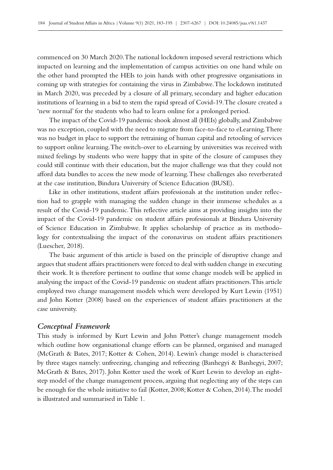commenced on 30 March 2020. The national lockdown imposed several restrictions which impacted on learning and the implementation of campus activities on one hand while on the other hand prompted the HEIs to join hands with other progressive organisations in coming up with strategies for containing the virus in Zimbabwe. The lockdown instituted in March 2020, was preceded by a closure of all primary, secondary and higher education institutions of learning in a bid to stem the rapid spread of Covid‑19. The closure created a 'new normal' for the students who had to learn online for a prolonged period.

The impact of the Covid‑19 pandemic shook almost all (HEIs) globally, and Zimbabwe was no exception, coupled with the need to migrate from face-to-face to eLearning. There was no budget in place to support the retraining of human capital and retooling of services to support online learning. The switch-over to eLearning by universities was received with mixed feelings by students who were happy that in spite of the closure of campuses they could still continue with their education, but the major challenge was that they could not afford data bundles to access the new mode of learning. These challenges also reverberated at the case institution, Bindura University of Science Education (BUSE).

Like in other institutions, student affairs professionals at the institution under reflection had to grapple with managing the sudden change in their immense schedules as a result of the Covid–19 pandemic. This reflective article aims at providing insights into the impact of the Covid-19 pandemic on student affairs professionals at Bindura University of Science Education in Zimbabwe. It applies scholarship of practice as its methodology for contextualising the impact of the coronavirus on student affairs practitioners (Luescher, 2018).

The basic argument of this article is based on the principle of disruptive change and argues that student affairs practitioners were forced to deal with sudden change in executing their work. It is therefore pertinent to outline that some change models will be applied in analysing the impact of the Covid-19 pandemic on student affairs practitioners. This article employed two change management models which were developed by Kurt Lewin (1951) and John Kotter (2008) based on the experiences of student affairs practitioners at the case university.

#### *Conceptual Framework*

This study is informed by Kurt Lewin and John Potter's change management models which outline how organisational change efforts can be planned, organised and managed (McGrath & Bates, 2017; Kotter & Cohen, 2014). Lewin's change model is characterised by three stages namely: unfreezing, changing and refreezing (Banhegyi & Banhegyi, 2007; McGrath & Bates, 2017). John Kotter used the work of Kurt Lewin to develop an eightstep model of the change management process, arguing that neglecting any of the steps can be enough for the whole initiative to fail (Kotter, 2008; Kotter & Cohen, 2014).The model is illustrated and summarised in Table 1.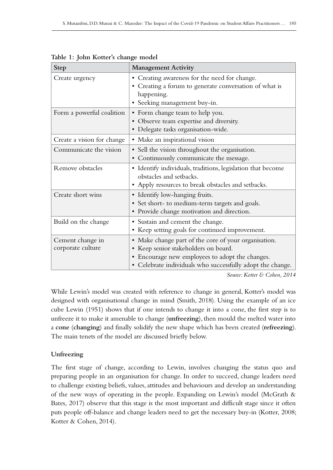| <b>Step</b>                           | <b>Management Activity</b>                                                                                                                                                                                    |
|---------------------------------------|---------------------------------------------------------------------------------------------------------------------------------------------------------------------------------------------------------------|
| Create urgency                        | • Creating awareness for the need for change.<br>• Creating a forum to generate conversation of what is<br>happening.<br>· Seeking management buy-in.                                                         |
| Form a powerful coalition             | • Form change team to help you.<br>• Observe team expertise and diversity.<br>· Delegate tasks organisation-wide.                                                                                             |
| Create a vision for change            | · Make an inspirational vision                                                                                                                                                                                |
| Communicate the vision                | • Sell the vision throughout the organisation.<br>• Continuously communicate the message.                                                                                                                     |
| Remove obstacles                      | · Identify individuals, traditions, legislation that become<br>obstacles and setbacks.<br>• Apply resources to break obstacles and setbacks.                                                                  |
| Create short wins                     | • Identify low-hanging fruits.<br>• Set short- to medium-term targets and goals.<br>• Provide change motivation and direction.                                                                                |
| Build on the change                   | • Sustain and cement the change.<br>• Keep setting goals for continued improvement.                                                                                                                           |
| Cement change in<br>corporate culture | • Make change part of the core of your organisation.<br>• Keep senior stakeholders on board.<br>• Encourage new employees to adopt the changes.<br>• Celebrate individuals who successfully adopt the change. |

**Table 1: John Kotter's change model**

*Source: Kotter & Cohen, 2014*

While Lewin's model was created with reference to change in general, Kotter's model was designed with organisational change in mind (Smith, 2018). Using the example of an ice cube Lewin (1951) shows that if one intends to change it into a cone, the first step is to unfreeze it to make it amenable to change (**unfreezing**), then mould the melted water into a **cone** (**changing**) and finally solidify the new shape which has been created (**refreezing**). The main tenets of the model are discussed briefly below.

# **Unfreezing**

The first stage of change, according to Lewin, involves changing the status quo and preparing people in an organisation for change. In order to succeed, change leaders need to challenge existing beliefs, values, attitudes and behaviours and develop an understanding of the new ways of operating in the people. Expanding on Lewin's model (McGrath & Bates, 2017) observe that this stage is the most important and difficult stage since it often puts people off-balance and change leaders need to get the necessary buy-in (Kotter, 2008; Kotter & Cohen, 2014).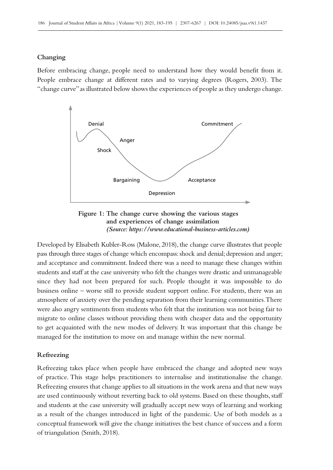#### **Changing**

Before embracing change, people need to understand how they would benefit from it. People embrace change at different rates and to varying degrees (Rogers, 2003). The "change curve" as illustrated below shows the experiences of people as they undergo change.





Developed by Elisabeth Kubler-Ross (Malone, 2018), the change curve illustrates that people pass through three stages of change which encompass: shock and denial; depression and anger; and acceptance and commitment. Indeed there was a need to manage these changes within students and staff at the case university who felt the changes were drastic and unmanageable since they had not been prepared for such. People thought it was impossible to do business online – worse still to provide student support online. For students, there was an atmosphere of anxiety over the pending separation from their learning communities. There were also angry sentiments from students who felt that the institution was not being fair to migrate to online classes without providing them with cheaper data and the opportunity to get acquainted with the new modes of delivery. It was important that this change be managed for the institution to move on and manage within the new normal.

#### **Refreezing**

Refreezing takes place when people have embraced the change and adopted new ways of practice. This stage helps practitioners to internalise and institutionalise the change. Refreezing ensures that change applies to all situations in the work arena and that new ways are used continuously without reverting back to old systems. Based on these thoughts, staff and students at the case university will gradually accept new ways of learning and working as a result of the changes introduced in light of the pandemic. Use of both models as a conceptual framework will give the change initiatives the best chance of success and a form of triangulation (Smith, 2018).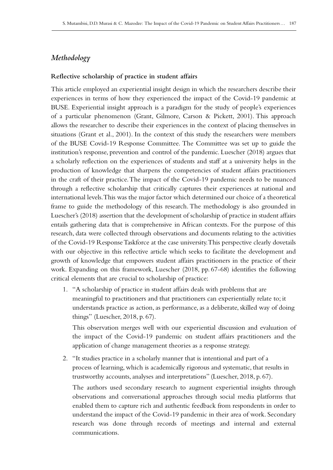# *Methodology*

#### **Reflective scholarship of practice in student affairs**

This article employed an experiential insight design in which the researchers describe their experiences in terms of how they experienced the impact of the Covid–19 pandemic at BUSE. Experiential insight approach is a paradigm for the study of people's experiences of a particular phenomenon (Grant, Gilmore, Carson & Pickett, 2001). This approach allows the researcher to describe their experiences in the context of placing themselves in situations (Grant et al., 2001). In the context of this study the researchers were members of the BUSE Covid‑19 Response Committee. The Committee was set up to guide the institution's response, prevention and control of the pandemic. Luescher (2018) argues that a scholarly reflection on the experiences of students and staff at a university helps in the production of knowledge that sharpens the competencies of student affairs practitioners in the craft of their practice. The impact of the Covid–19 pandemic needs to be nuanced through a reflective scholarship that critically captures their experiences at national and international levels. This was the major factor which determined our choice of a theoretical frame to guide the methodology of this research. The methodology is also grounded in Luescher's (2018) assertion that the development of scholarship of practice in student affairs entails gathering data that is comprehensive in African contexts. For the purpose of this research, data were collected through observations and documents relating to the activities of the Covid‑19 Response Taskforce at the case university. This perspective clearly dovetails with our objective in this reflective article which seeks to facilitate the development and growth of knowledge that empowers student affairs practitioners in the practice of their work. Expanding on this framework, Luescher (2018, pp. 67-68) identifies the following critical elements that are crucial to scholarship of practice:

1. "A scholarship of practice in student affairs deals with problems that are meaningful to practitioners and that practitioners can experientially relate to; it understands practice as action, as performance, as a deliberate, skilled way of doing things" (Luescher, 2018, p. 67).

This observation merges well with our experiential discussion and evaluation of the impact of the Covid–19 pandemic on student affairs practitioners and the application of change management theories as a response strategy.

2. "It studies practice in a scholarly manner that is intentional and part of a process of learning, which is academically rigorous and systematic, that results in trustworthy accounts, analyses and interpretations" (Luescher, 2018, p. 67).

The authors used secondary research to augment experiential insights through observations and conversational approaches through social media platforms that enabled them to capture rich and authentic feedback from respondents in order to understand the impact of the Covid-19 pandemic in their area of work. Secondary research was done through records of meetings and internal and external communications.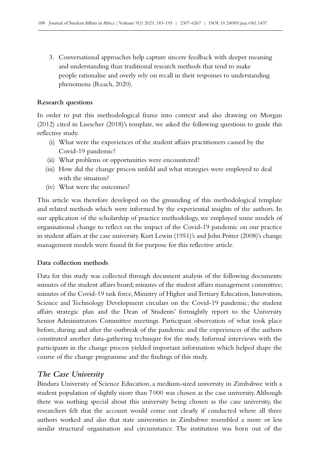3. Conversational approaches help capture sincere feedback with deeper meaning and understanding than traditional research methods that tend to make people rationalise and overly rely on recall in their responses to understanding phenomena (Reach, 2020).

#### **Research questions**

In order to put this methodological frame into context and also drawing on Morgan (2012) cited in Luescher (2018)'s template, we asked the following questions to guide this reflective study.

- (i) What were the experiences of the student affairs practitioners caused by the Covid‑19 pandemic?
- (ii) What problems or opportunities were encountered?
- (iii) How did the change process unfold and what strategies were employed to deal with the situation?
- (iv) What were the outcomes?

This article was therefore developed on the grounding of this methodological template and related methods which were informed by the experiential insights of the authors. In our application of the scholarship of practice methodology, we employed some models of organisational change to reflect on the impact of the Covid‑19 pandemic on our practice in student affairs at the case university. Kurt Lewin (1951)'s and John Potter (2008)'s change management models were found fit for purpose for this reflective article.

#### **Data collection methods**

Data for this study was collected through document analysis of the following documents: minutes of the student affairs board; minutes of the student affairs management committee; minutes of the Covid-19 task force, Ministry of Higher and Tertiary Education, Innovation, Science and Technology Development circulars on the Covid-19 pandemic; the student affairs strategic plan and the Dean of Students' fortnightly report to the University Senior Administrators Committee meetings. Participant observation of what took place before, during and after the outbreak of the pandemic and the experiences of the authors constituted another data-gathering technique for the study. Informal interviews with the participants in the change process yielded important information which helped shape the course of the change programme and the findings of this study.

# *The Case University*

Bindura University of Science Education, a medium-sized university in Zimbabwe with a student population of slightly more than 7000 was chosen as the case university. Although there was nothing special about this university being chosen as the case university, the researchers felt that the account would come out clearly if conducted where all three authors worked and also that state universities in Zimbabwe resembled a more or less similar structural organisation and circumstance. The institution was born out of the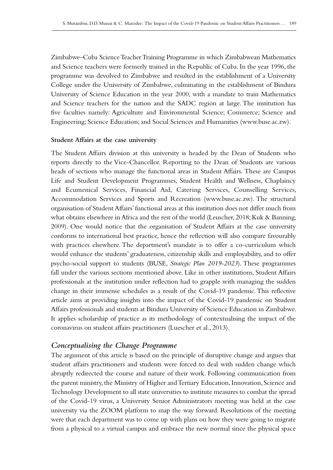Zimbabwe–Cuba Science Teacher Training Programme in which Zimbabwean Mathematics and Science teachers were formerly trained in the Republic of Cuba. In the year 1996, the programme was devolved to Zimbabwe and resulted in the establishment of a University College under the University of Zimbabwe, culminating in the establishment of Bindura University of Science Education in the year 2000, with a mandate to train Mathematics and Science teachers for the nation and the SADC region at large. The institution has five faculties namely: Agriculture and Environmental Science; Commerce; Science and Engineering; Science Education; and Social Sciences and Humanities [\(www.buse.ac.zw](http://www.buse.ac.zw)).

#### **Student Affairs at the case university**

The Student Affairs division at this university is headed by the Dean of Students who reports directly to the Vice-Chancellor. Reporting to the Dean of Students are various heads of sections who manage the functional areas in Student Affairs. These are Campus Life and Student Development Programmes, Student Health and Wellness, Chaplaincy and Ecumenical Services, Financial Aid, Catering Services, Counselling Services, Accommodation Services and Sports and Recreation ([www.buse.ac.zw](http://www.buse.ac.zw)). The structural organisation of Student Affairs' functional areas at this institution does not differ much from what obtains elsewhere in Africa and the rest of the world (Leuscher, 2018; Kuk & Banning, 2009). One would notice that the organisation of Student Affairs at the case university conforms to international best practice, hence the reflection will also compare favourably with practices elsewhere. The department's mandate is to offer a co-curriculum which would enhance the students' graduateness, citizenship skills and employability, and to offer psycho-social support to students (BUSE, *Strategic Plan 2019-2023*). These programmes fall under the various sections mentioned above. Like in other institutions, Student Affairs professionals at the institution under reflection had to grapple with managing the sudden change in their immense schedules as a result of the Covid‑19 pandemic. This reflective article aims at providing insights into the impact of the Covid‑19 pandemic on Student Affairs professionals and students at Bindura University of Science Education in Zimbabwe. It applies scholarship of practice as its methodology of contextualising the impact of the coronavirus on student affairs practitioners (Luescher et al., 2013).

# *Conceptualising the Change Programme*

The argument of this article is based on the principle of disruptive change and argues that student affairs practitioners and students were forced to deal with sudden change which abruptly redirected the course and nature of their work. Following communication from the parent ministry, the Ministry of Higher and Tertiary Education, Innovation, Science and Technology Development to all state universities to institute measures to combat the spread of the Covid‑19 virus, a University Senior Administrators meeting was held at the case university via the ZOOM platform to map the way forward. Resolutions of the meeting were that each department was to come up with plans on how they were going to migrate from a physical to a virtual campus and embrace the new normal since the physical space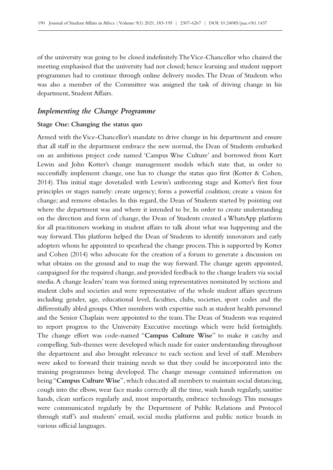of the university was going to be closed indefinitely. The Vice-Chancellor who chaired the meeting emphasised that the university had not closed; hence learning and student support programmes had to continue through online delivery modes. The Dean of Students who was also a member of the Committee was assigned the task of driving change in his department, Student Affairs.

### *Implementing the Change Programme*

#### **Stage One: Changing the status quo**

Armed with the Vice-Chancellor's mandate to drive change in his department and ensure that all staff in the department embrace the new normal, the Dean of Students embarked on an ambitious project code named 'Campus Wise Culture' and borrowed from Kurt Lewin and John Kotter's change management models which state that, in order to successfully implement change, one has to change the status quo first (Kotter & Cohen, 2014). This initial stage dovetailed with Lewin's unfreezing stage and Kotter's first four principles or stages namely: create urgency; form a powerful coalition; create a vision for change; and remove obstacles. In this regard, the Dean of Students started by pointing out where the department was and where it intended to be. In order to create understanding on the direction and form of change, the Dean of Students created a WhatsApp platform for all practitioners working in student affairs to talk about what was happening and the way forward. This platform helped the Dean of Students to identify innovators and early adopters whom he appointed to spearhead the change process. This is supported by Kotter and Cohen (2014) who advocate for the creation of a forum to generate a discussion on what obtains on the ground and to map the way forward. The change agents appointed, campaigned for the required change, and provided feedback to the change leaders via social media. A change leaders' team was formed using representatives nominated by sections and student clubs and societies and were representative of the whole student affairs spectrum including gender, age, educational level, faculties, clubs, societies, sport codes and the differentially abled groups. Other members with expertise such as student health personnel and the Senior Chaplain were appointed to the team. The Dean of Students was required to report progress to the University Executive meetings which were held fortnightly. The change effort was code-named "**Campus Culture Wise**" to make it catchy and compelling. Sub-themes were developed which made for easier understanding throughout the department and also brought relevance to each section and level of staff. Members were asked to forward their training needs so that they could be incorporated into the training programmes being developed. The change message contained information on being "**Campus Culture Wise**", which educated all members to maintain social distancing, cough into the elbow, wear face masks correctly all the time, wash hands regularly, sanitise hands, clean surfaces regularly and, most importantly, embrace technology. This messages were communicated regularly by the Department of Public Relations and Protocol through staff's and students' email, social media platforms and public notice boards in various official languages.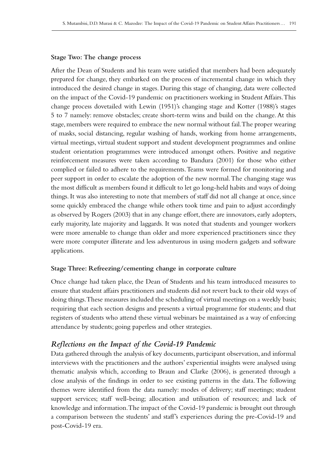#### **Stage Two: The change process**

After the Dean of Students and his team were satisfied that members had been adequately prepared for change, they embarked on the process of incremental change in which they introduced the desired change in stages. During this stage of changing, data were collected on the impact of the Covid‑19 pandemic on practitioners working in Student Affairs. This change process dovetailed with Lewin (1951)'s changing stage and Kotter (1988)'s stages 5 to 7 namely: remove obstacles; create short-term wins and build on the change. At this stage, members were required to embrace the new normal without fail. The proper wearing of masks, social distancing, regular washing of hands, working from home arrangements, virtual meetings, virtual student support and student development programmes and online student orientation programmes were introduced amongst others. Positive and negative reinforcement measures were taken according to Bandura (2001) for those who either complied or failed to adhere to the requirements. Teams were formed for monitoring and peer support in order to escalate the adoption of the new normal. The changing stage was the most difficult as members found it difficult to let go long-held habits and ways of doing things. It was also interesting to note that members of staff did not all change at once, since some quickly embraced the change while others took time and pain to adjust accordingly as observed by Rogers (2003) that in any change effort, there are innovators, early adopters, early majority, late majority and laggards. It was noted that students and younger workers were more amenable to change than older and more experienced practitioners since they were more computer illiterate and less adventurous in using modern gadgets and software applications.

#### **Stage Three: Refreezing/cementing change in corporate culture**

Once change had taken place, the Dean of Students and his team introduced measures to ensure that student affairs practitioners and students did not revert back to their old ways of doing things. These measures included the scheduling of virtual meetings on a weekly basis; requiring that each section designs and presents a virtual programme for students; and that registers of students who attend these virtual webinars be maintained as a way of enforcing attendance by students; going paperless and other strategies.

## *Reflections on the Impact of the Covid-19 Pandemic*

Data gathered through the analysis of key documents, participant observation, and informal interviews with the practitioners and the authors' experiential insights were analysed using thematic analysis which, according to Braun and Clarke (2006), is generated through a close analysis of the findings in order to see existing patterns in the data. The following themes were identified from the data namely: modes of delivery; staff meetings; student support services; staff well-being; allocation and utilisation of resources; and lack of knowledge and information. The impact of the Covid‑19 pandemic is brought out through a comparison between the students' and staff's experiences during the pre‑Covid‑19 and post-Covid‑19 era.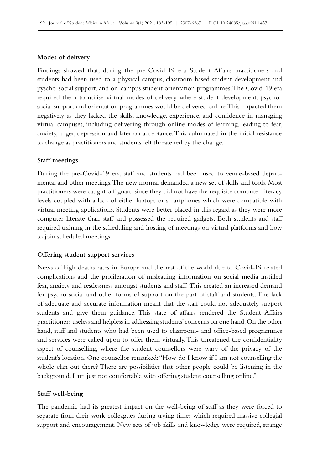#### **Modes of delivery**

Findings showed that, during the pre-Covid-19 era Student Affairs practitioners and students had been used to a physical campus, classroom-based student development and pyscho-social support, and on-campus student orientation programmes. The Covid-19 era required them to utilise virtual modes of delivery where student development, psychosocial support and orientation programmes would be delivered online. This impacted them negatively as they lacked the skills, knowledge, experience, and confidence in managing virtual campuses, including delivering through online modes of learning, leading to fear, anxiety, anger, depression and later on acceptance. This culminated in the initial resistance to change as practitioners and students felt threatened by the change.

#### **Staff meetings**

During the pre–Covid–19 era, staff and students had been used to venue-based depart– mental and other meetings. The new normal demanded a new set of skills and tools. Most practitioners were caught off-guard since they did not have the requisite computer literacy levels coupled with a lack of either laptops or smartphones which were compatible with virtual meeting applications. Students were better placed in this regard as they were more computer literate than staff and possessed the required gadgets. Both students and staff required training in the scheduling and hosting of meetings on virtual platforms and how to join scheduled meetings.

#### **Offering student support services**

News of high deaths rates in Europe and the rest of the world due to Covid–19 related complications and the proliferation of misleading information on social media instilled fear, anxiety and restlessness amongst students and staff. This created an increased demand for psycho-social and other forms of support on the part of staff and students. The lack of adequate and accurate information meant that the staff could not adequately support students and give them guidance. This state of affairs rendered the Student Affairs practitioners useless and helpless in addressing students' concerns on one hand. On the other hand, staff and students who had been used to classroom- and office-based programmes and services were called upon to offer them virtually. This threatened the confidentiality aspect of counselling, where the student counsellors were wary of the privacy of the student's location. One counsellor remarked: "How do I know if I am not counselling the whole clan out there? There are possibilities that other people could be listening in the background. I am just not comfortable with offering student counselling online."

#### **Staff well‑being**

The pandemic had its greatest impact on the well-being of staff as they were forced to separate from their work colleagues during trying times which required massive collegial support and encouragement. New sets of job skills and knowledge were required, strange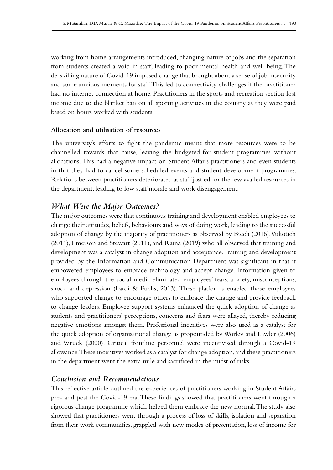working from home arrangements introduced, changing nature of jobs and the separation from students created a void in staff, leading to poor mental health and well-being. The de-skilling nature of Covid‑19 imposed change that brought about a sense of job insecurity and some anxious moments for staff. This led to connectivity challenges if the practitioner had no internet connection at home. Practitioners in the sports and recreation section lost income due to the blanket ban on all sporting activities in the country as they were paid based on hours worked with students.

### **Allocation and utilisation of resources**

The university's efforts to fight the pandemic meant that more resources were to be channelled towards that cause, leaving the budgeted-for student programmes without allocations. This had a negative impact on Student Affairs practitioners and even students in that they had to cancel some scheduled events and student development programmes. Relations between practitioners deteriorated as staff jostled for the few availed resources in the department, leading to low staff morale and work disengagement.

# *What Were the Major Outcomes?*

The major outcomes were that continuous training and development enabled employees to change their attitudes, beliefs, behaviours and ways of doing work, leading to the successful adoption of change by the majority of practitioners as observed by Biech (2016), Vukotich (2011), Emerson and Stewart (2011), and Raina (2019) who all observed that training and development was a catalyst in change adoption and acceptance. Training and development provided by the Information and Communication Department was significant in that it empowered employees to embrace technology and accept change. Information given to employees through the social media eliminated employees' fears, anxiety, misconceptions, shock and depression (Lardi & Fuchs, 2013). These platforms enabled those employees who supported change to encourage others to embrace the change and provide feedback to change leaders. Employee support systems enhanced the quick adoption of change as students and practitioners' perceptions, concerns and fears were allayed, thereby reducing negative emotions amongst them. Professional incentives were also used as a catalyst for the quick adoption of organisational change as propounded by Worley and Lawler (2006) and Wruck (2000). Critical frontline personnel were incentivised through a Covid‑19 allowance. These incentives worked as a catalyst for change adoption, and these practitioners in the department went the extra mile and sacrificed in the midst of risks.

# *Conclusion and Recommendations*

This reflective article outlined the experiences of practitioners working in Student Affairs pre- and post the Covid‑19 era. These findings showed that practitioners went through a rigorous change programme which helped them embrace the new normal. The study also showed that practitioners went through a process of loss of skills, isolation and separation from their work communities, grappled with new modes of presentation, loss of income for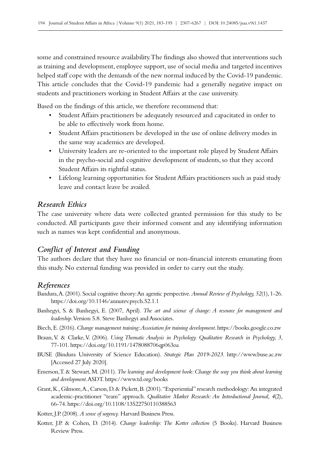some and constrained resource availability. The findings also showed that interventions such as training and development, employee support, use of social media and targeted incentives helped staff cope with the demands of the new normal induced by the Covid-19 pandemic. This article concludes that the Covid–19 pandemic had a generally negative impact on students and practitioners working in Student Affairs at the case university.

Based on the findings of this article, we therefore recommend that:

- Student Affairs practitioners be adequately resourced and capacitated in order to be able to effectively work from home.
- Student Affairs practitioners be developed in the use of online delivery modes in the same way academics are developed.
- University leaders are re‑oriented to the important role played by Student Affairs in the psycho-social and cognitive development of students, so that they accord Student Affairs its rightful status.
- Lifelong learning opportunities for Student Affairs practitioners such as paid study leave and contact leave be availed.

# *Research Ethics*

The case university where data were collected granted permission for this study to be conducted. All participants gave their informed consent and any identifying information such as names was kept confidential and anonymous.

## *Conflict of Interest and Funding*

The authors declare that they have no financial or non-financial interests emanating from this study. No external funding was provided in order to carry out the study.

## *References*

- Bandura, A. (2001). Social cognitive theory: An agentic perspective. *Annual Review of Psychology, 52*(1), 1-26. <https://doi.org/10.1146/annurev.psych.52.1.1>
- Banhegyi, S. & Banhegyi, E. (2007, April). *The art and science of change: A resource for management and leadership*. Version 5.8. Steve Banhegyi and Associates.
- Biech, E. (2016). *Change management training: Association for training development*. [https://books.google.co.zw](http://books.google.co.zw)
- Braun, V. & Clarke, V. (2006). *Using Thematic Analysis in Psychology. Qualitative Research in Psychology, 3*, 77‑101. <https://doi.org/10.1191/1478088706qp063oa>
- BUSE (Bindura University of Science Education). *Strategic Plan 2019-2023*. <http://www.buse.ac.zw> [Accessed 27 July 2020].
- Emerson, T. & Stewart, M. (2011). *The learning and development book: Change the way you think about learning and development*. ASDT.<https://www.td.org/books>
- Grant, K., Gilmore, A., Carson, D. & Pickett, B. (2001). "Experiential" research methodology: An integrated academic-practitioner "team" approach. *Qualitative Market Research: An Introductional Journal, 4*(2), 66‑74.<https://doi.org/10.1108/13522750110388563>

Kotter, J.P. (2008). *A sense of urgency.* Harvard Business Press.

Kotter, J.P. & Cohen, D. (2014). *Change leadership: The Kotter collection* (5 Books). Harvard Business Review Press.